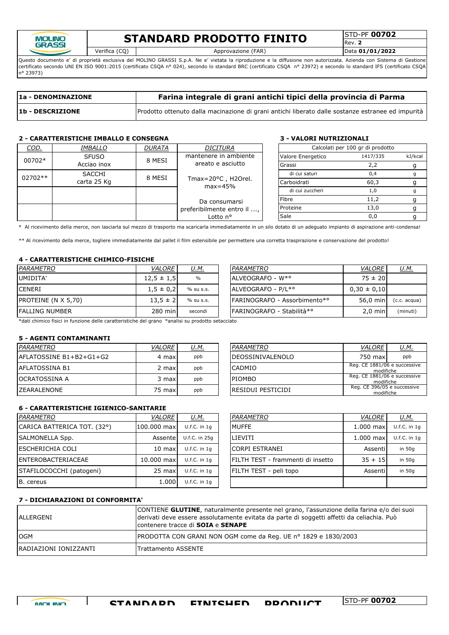

# **STANDARD PRODOTTO FINITO** STANDARD

Rev. **2**

Verifica (CQ) Approvazione (FAR) Data **01/01/2022**

Questo documento e' di proprietà esclusiva del MOLINO GRASSI S.p.A. Ne e' vietata la riproduzione e la diffusione non autorizzata. Azienda con Sistema di Gestione certificato secondo UNI EN ISO 9001:2015 (certificato CSQA nº 024), secondo lo standard BRC (certificato CSQA nº 23972) e secondo lo standard IFS (certificato CSQA n° 23973)

| 1a - DENOMINAZIONE | Farina integrale di grani antichi tipici della provincia di Parma                                 |
|--------------------|---------------------------------------------------------------------------------------------------|
| 1b - DESCRIZIONE   | Prodotto ottenuto dalla macinazione di grani antichi liberato dalle sostanze estranee ed impurità |

# **2 - CARATTERISTICHE IMBALLO E CONSEGNA 3 - VALORI NUTRIZIONALI**

| COD.    | <i>IMBALLO</i>                   | <b>DURATA</b> | DICITURA                                    |     |                   | Calcolati per 100 gr di prodotto |         |
|---------|----------------------------------|---------------|---------------------------------------------|-----|-------------------|----------------------------------|---------|
| 00702*  | <b>SFUSO</b>                     | 8 MESI        | mantenere in ambiente                       |     | Valore Energetico | 1417/335                         | kJ/kcal |
|         | areato e asciutto<br>Acciao inox |               | Grassi                                      | 2,2 |                   |                                  |         |
| 02702** | <b>SACCHI</b>                    | 8 MESI        |                                             |     | di cui saturi     | 0,4                              |         |
|         | carta 25 Kg                      |               | Tmax= $20^{\circ}$ C, H2Orel.<br>$max=45%$  |     | Carboidrati       | 60,3                             |         |
|         |                                  |               |                                             |     | di cui zuccheri   | 1,0                              |         |
|         |                                  |               | Da consumarsi<br>preferibilmente entro il , |     | Fibre             | 11,2                             |         |
|         |                                  |               |                                             |     | Proteine          | 13,0                             |         |
|         |                                  |               | Lotto n°                                    |     | Sale              | 0,0                              |         |

\* Al ricevimento della merce, non lasciarla sul mezzo di trasporto ma scaricarla immediatamente in un silo dotato di un adeguato impianto di aspirazione anti-condensa!

\*\* Al ricevimento della merce, togliere immediatamente dal pallet il film estensibile per permettere una corretta traspirazione e conservazione del prodotto!

## **4 - CARATTERISTICHE CHIMICO-FISICHE**

| PARAMETRO           | <i>VALORE</i>  | <u>U.M.</u>   | <i>PARAMETRO</i>                     | <b>VALORE</b>   | <u>U.M.</u>    |
|---------------------|----------------|---------------|--------------------------------------|-----------------|----------------|
| UMIDITA'            | $12,5 \pm 1,5$ | $\frac{0}{0}$ | IALVEOGRAFO - W*°                    | $75 \pm 20$     |                |
| <b>CENERI</b>       | $1,5 \pm 0,2$  | % su s.s.     | ALVEOGRAFO - P/L <sup>*</sup> °      | $0.30 \pm 0.10$ |                |
| PROTEINE (N X 5,70) | $13.5 \pm 2$   | % su s.s.     | <b>IFARINOGRAFO - Assorbimento*°</b> | 56.0 min        | $(c.c. acqua)$ |
| lfalling number     | 280 min        | secondi       | IFARINOGRAFO - Stabilità*°           | $2,0$ min       | (minuti)       |

\*dati chimico fisici in funzione delle caratteristiche del grano °analisi su prodotto setacciato

#### **5 - AGENTI CONTAMINANTI**

| PARAMETRO                | <b>VALORE</b> | <u>U.M.</u> | IPARAMETRO               | <b>VALORE</b>                             | <u>U.M.</u> |
|--------------------------|---------------|-------------|--------------------------|-------------------------------------------|-------------|
| lAFLATOSSINE B1+B2+G1+G2 | 4 max         | ppb         | <b>IDEOSSINIVALENOLO</b> | 750 max                                   | ppb         |
| lAFLATOSSINA B1          | 2 max         | ppb         | CADMIO                   | Reg. CE 1881/06 e successive<br>modifiche |             |
| IOCRATOSSINA A           | 3 maxl        | ppb         | <b>PIOMBO</b>            | Reg. CE 1881/06 e successive<br>modifiche |             |
| IZEARALENONE             | 75 max        | ppb         | IRESIDUI PESTICIDI       | Reg. CE 396/05 e successive<br>modifiche  |             |

# DEOSSINIVALENOLO | 750 max ppb RESIDUI PESTICIDI modifiche modifiche PIOMBO<br>PIOMBO Reg. CE 1881/06 e successive modifiche<br>Reg. CE 396/05 e successive

### **6 - CARATTERISTICHE IGIENICO-SANITARIE**

| PARAMETRO                   | <b>VALORE</b>    | <u>U.M.</u>      | PARAMETRO                          | VALORE      | <u>U.M.</u>      |
|-----------------------------|------------------|------------------|------------------------------------|-------------|------------------|
| CARICA BATTERICA TOT. (32°) | 100,000 max      | $U.f.C.$ in $1q$ | MUFFE                              | $1.000$ max | $U.f.C.$ in $1c$ |
| <b>SALMONELLA Spp.</b>      | Assente          | U.f.C. in 25a    | <b>LIEVITI</b>                     | $1.000$ max | $U.f.C.$ in $1c$ |
| lescherichia coli           | $10 \text{ max}$ | $U.f.C.$ in 1q   | <b>CORPI ESTRANEI</b>              | Assentil    | in 50g           |
| <b>IENTEROBACTERIACEAE</b>  | 10,000 max       | $U.f.C.$ in 1q   | IFILTH TEST - frammenti di insetto | $35 + 15$   | in 50g           |
| STAFILOCOCCHI (patogeni)    | 25 max           | $U.f.C.$ in 1q   | FILTH TEST - peli topo             | Assentil    | in 50g           |
| B. cereus                   | 1.000            | $U.f.C.$ in 1q   |                                    |             |                  |

| PARAMETRO                         | VALORE      | U.M.           |
|-----------------------------------|-------------|----------------|
| <b>MUFFE</b>                      | $1.000$ max | $U.f.C.$ in 1q |
| LIEVITI                           | $1.000$ max | $U.f.C.$ in 1q |
| <b>CORPI ESTRANEI</b>             | Assentil    | in $50q$       |
| FILTH TEST - frammenti di insetto | $35 + 15$   | in 50g         |
| FILTH TEST - peli topo            | Assentil    | in $50q$       |
|                                   |             |                |

## **7 - DICHIARAZIONI DI CONFORMITA'**

| ALLERGENI              | CONTIENE GLUTINE, naturalmente presente nel grano, l'assunzione della farina e/o dei suoi<br>derivati deve essere assolutamente evitata da parte di soggetti affetti da celiachia. Può<br>contenere tracce di <b>SOIA</b> e <b>SENAPE</b> |
|------------------------|-------------------------------------------------------------------------------------------------------------------------------------------------------------------------------------------------------------------------------------------|
| <b>OGM</b>             | PRODOTTA CON GRANI NON OGM come da Reg. UE nº 1829 e 1830/2003                                                                                                                                                                            |
| IRADIAZIONI IONIZZANTI | <b>ITrattamento ASSENTE</b>                                                                                                                                                                                                               |